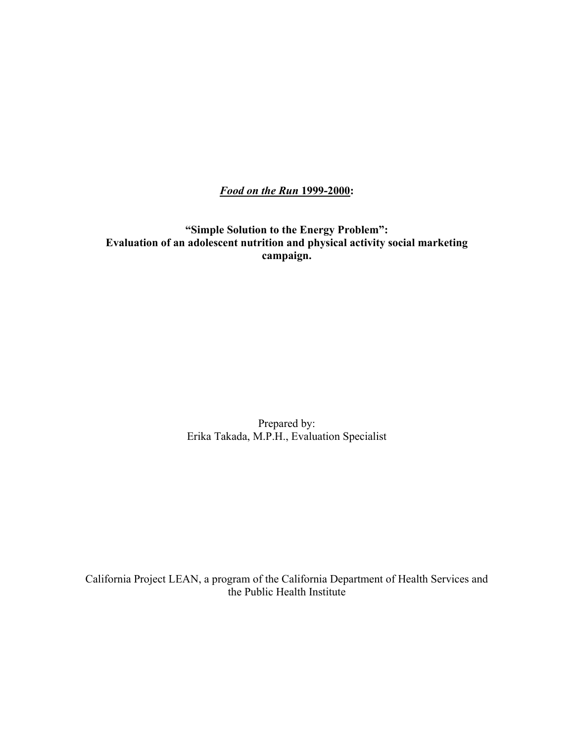*Food on the Run* **1999-2000:** 

**"Simple Solution to the Energy Problem": Evaluation of an adolescent nutrition and physical activity social marketing campaign.** 

> Prepared by: Erika Takada, M.P.H., Evaluation Specialist

California Project LEAN, a program of the California Department of Health Services and the Public Health Institute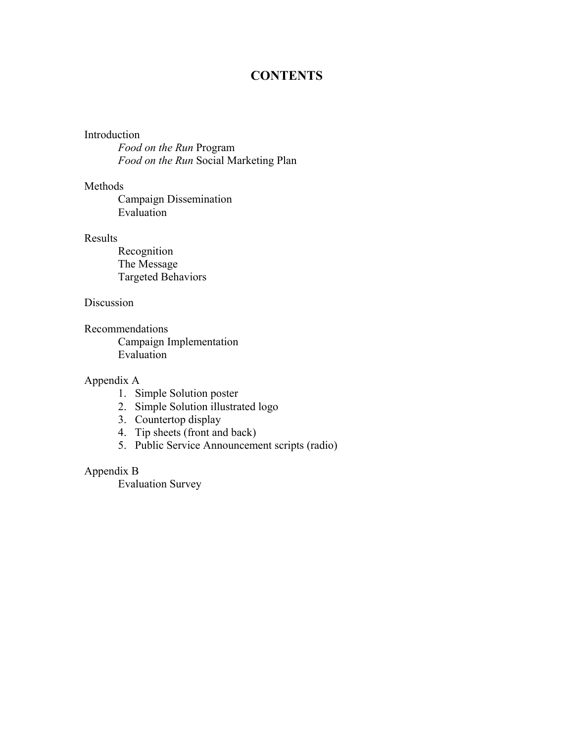# **CONTENTS**

# Introduction

*Food on the Run* Program *Food on the Run* Social Marketing Plan

# Methods

 Campaign Dissemination Evaluation

# Results

 Recognition The Message Targeted Behaviors

# Discussion

Recommendations Campaign Implementation Evaluation

# Appendix A

- 1. Simple Solution poster
- 2. Simple Solution illustrated logo
- 3. Countertop display
- 4. Tip sheets (front and back)
- 5. Public Service Announcement scripts (radio)

# Appendix B

Evaluation Survey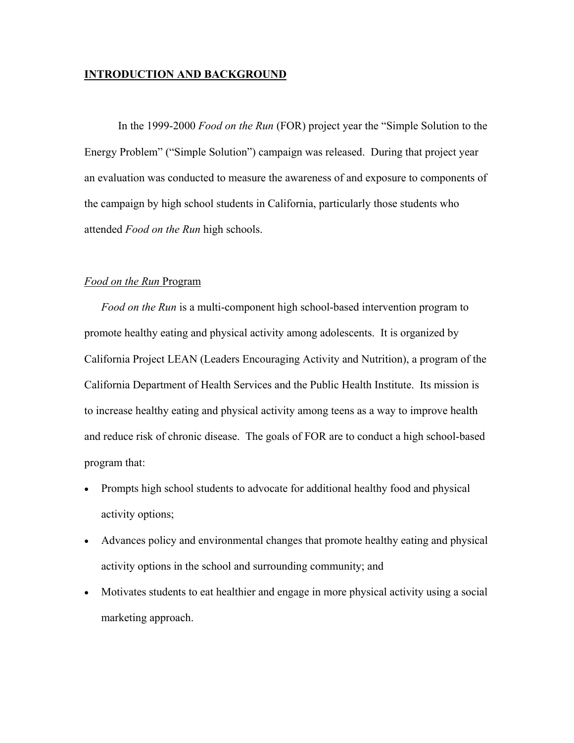# **INTRODUCTION AND BACKGROUND**

In the 1999-2000 *Food on the Run* (FOR) project year the "Simple Solution to the Energy Problem" ("Simple Solution") campaign was released. During that project year an evaluation was conducted to measure the awareness of and exposure to components of the campaign by high school students in California, particularly those students who attended *Food on the Run* high schools.

# *Food on the Run* Program

*Food on the Run* is a multi-component high school-based intervention program to promote healthy eating and physical activity among adolescents. It is organized by California Project LEAN (Leaders Encouraging Activity and Nutrition), a program of the California Department of Health Services and the Public Health Institute. Its mission is to increase healthy eating and physical activity among teens as a way to improve health and reduce risk of chronic disease. The goals of FOR are to conduct a high school-based program that:

- Prompts high school students to advocate for additional healthy food and physical activity options;
- Advances policy and environmental changes that promote healthy eating and physical activity options in the school and surrounding community; and
- Motivates students to eat healthier and engage in more physical activity using a social marketing approach.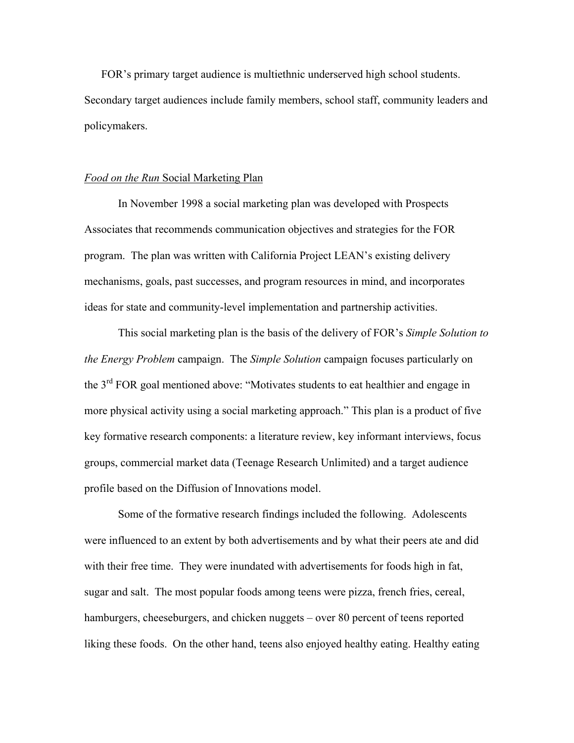FOR's primary target audience is multiethnic underserved high school students. Secondary target audiences include family members, school staff, community leaders and policymakers.

### *Food on the Run* Social Marketing Plan

In November 1998 a social marketing plan was developed with Prospects Associates that recommends communication objectives and strategies for the FOR program. The plan was written with California Project LEAN's existing delivery mechanisms, goals, past successes, and program resources in mind, and incorporates ideas for state and community-level implementation and partnership activities.

This social marketing plan is the basis of the delivery of FOR's *Simple Solution to the Energy Problem* campaign. The *Simple Solution* campaign focuses particularly on the 3<sup>rd</sup> FOR goal mentioned above: "Motivates students to eat healthier and engage in more physical activity using a social marketing approach." This plan is a product of five key formative research components: a literature review, key informant interviews, focus groups, commercial market data (Teenage Research Unlimited) and a target audience profile based on the Diffusion of Innovations model.

Some of the formative research findings included the following. Adolescents were influenced to an extent by both advertisements and by what their peers ate and did with their free time. They were inundated with advertisements for foods high in fat, sugar and salt. The most popular foods among teens were pizza, french fries, cereal, hamburgers, cheeseburgers, and chicken nuggets – over 80 percent of teens reported liking these foods. On the other hand, teens also enjoyed healthy eating. Healthy eating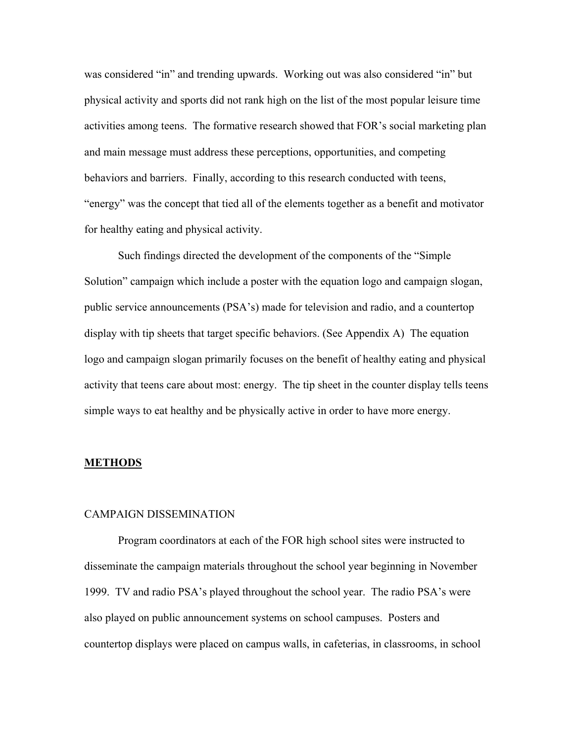was considered "in" and trending upwards. Working out was also considered "in" but physical activity and sports did not rank high on the list of the most popular leisure time activities among teens. The formative research showed that FOR's social marketing plan and main message must address these perceptions, opportunities, and competing behaviors and barriers. Finally, according to this research conducted with teens, "energy" was the concept that tied all of the elements together as a benefit and motivator for healthy eating and physical activity.

Such findings directed the development of the components of the "Simple Solution" campaign which include a poster with the equation logo and campaign slogan, public service announcements (PSA's) made for television and radio, and a countertop display with tip sheets that target specific behaviors. (See Appendix A) The equation logo and campaign slogan primarily focuses on the benefit of healthy eating and physical activity that teens care about most: energy. The tip sheet in the counter display tells teens simple ways to eat healthy and be physically active in order to have more energy.

#### **METHODS**

#### CAMPAIGN DISSEMINATION

Program coordinators at each of the FOR high school sites were instructed to disseminate the campaign materials throughout the school year beginning in November 1999. TV and radio PSA's played throughout the school year. The radio PSA's were also played on public announcement systems on school campuses. Posters and countertop displays were placed on campus walls, in cafeterias, in classrooms, in school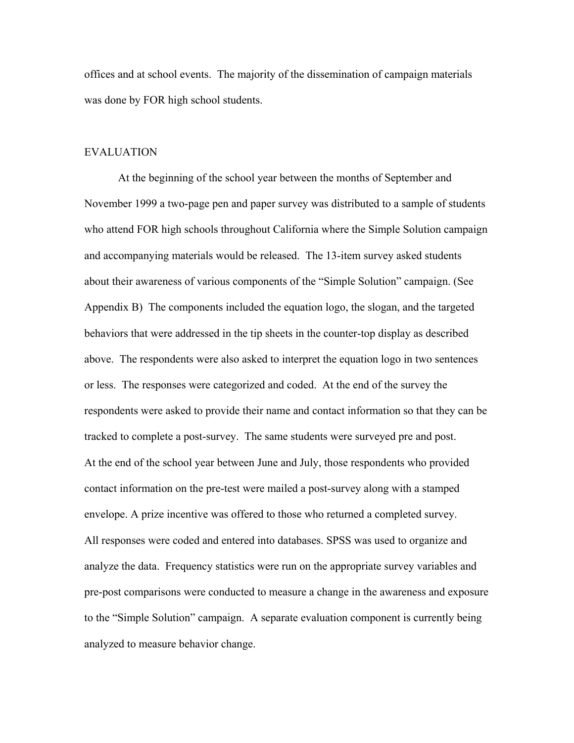offices and at school events. The majority of the dissemination of campaign materials was done by FOR high school students.

#### EVALUATION

At the beginning of the school year between the months of September and November 1999 a two-page pen and paper survey was distributed to a sample of students who attend FOR high schools throughout California where the Simple Solution campaign and accompanying materials would be released. The 13-item survey asked students about their awareness of various components of the "Simple Solution" campaign. (See Appendix B) The components included the equation logo, the slogan, and the targeted behaviors that were addressed in the tip sheets in the counter-top display as described above. The respondents were also asked to interpret the equation logo in two sentences or less. The responses were categorized and coded. At the end of the survey the respondents were asked to provide their name and contact information so that they can be tracked to complete a post-survey. The same students were surveyed pre and post. At the end of the school year between June and July, those respondents who provided contact information on the pre-test were mailed a post-survey along with a stamped envelope. A prize incentive was offered to those who returned a completed survey. All responses were coded and entered into databases. SPSS was used to organize and analyze the data. Frequency statistics were run on the appropriate survey variables and pre-post comparisons were conducted to measure a change in the awareness and exposure to the "Simple Solution" campaign. A separate evaluation component is currently being analyzed to measure behavior change.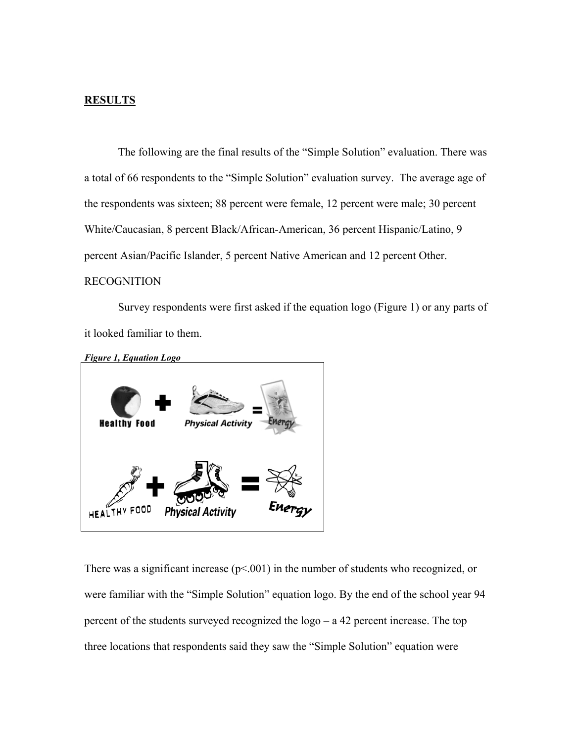# **RESULTS**

The following are the final results of the "Simple Solution" evaluation. There was a total of 66 respondents to the "Simple Solution" evaluation survey. The average age of the respondents was sixteen; 88 percent were female, 12 percent were male; 30 percent White/Caucasian, 8 percent Black/African-American, 36 percent Hispanic/Latino, 9 percent Asian/Pacific Islander, 5 percent Native American and 12 percent Other.

# RECOGNITION

Survey respondents were first asked if the equation logo (Figure 1) or any parts of it looked familiar to them.



There was a significant increase  $(p<.001)$  in the number of students who recognized, or were familiar with the "Simple Solution" equation logo. By the end of the school year 94 percent of the students surveyed recognized the logo – a 42 percent increase. The top three locations that respondents said they saw the "Simple Solution" equation were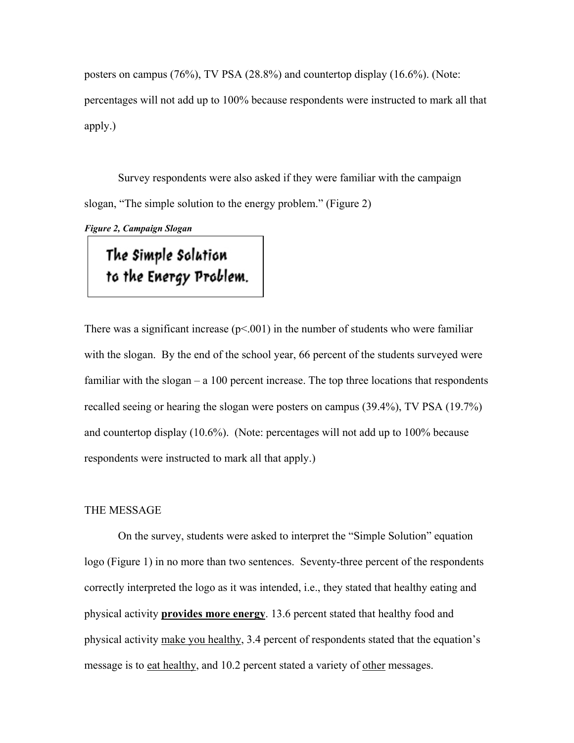posters on campus (76%), TV PSA (28.8%) and countertop display (16.6%). (Note: percentages will not add up to 100% because respondents were instructed to mark all that apply.)

Survey respondents were also asked if they were familiar with the campaign slogan, "The simple solution to the energy problem." (Figure 2)

*Figure 2, Campaign Slogan*

The Simple Solution to the Energy Problem.

There was a significant increase  $(p<0.01)$  in the number of students who were familiar with the slogan. By the end of the school year, 66 percent of the students surveyed were familiar with the slogan – a 100 percent increase. The top three locations that respondents recalled seeing or hearing the slogan were posters on campus (39.4%), TV PSA (19.7%) and countertop display (10.6%). (Note: percentages will not add up to 100% because respondents were instructed to mark all that apply.)

#### THE MESSAGE

On the survey, students were asked to interpret the "Simple Solution" equation logo (Figure 1) in no more than two sentences. Seventy-three percent of the respondents correctly interpreted the logo as it was intended, i.e., they stated that healthy eating and physical activity **provides more energy**. 13.6 percent stated that healthy food and physical activity make you healthy, 3.4 percent of respondents stated that the equation's message is to eat healthy, and 10.2 percent stated a variety of other messages.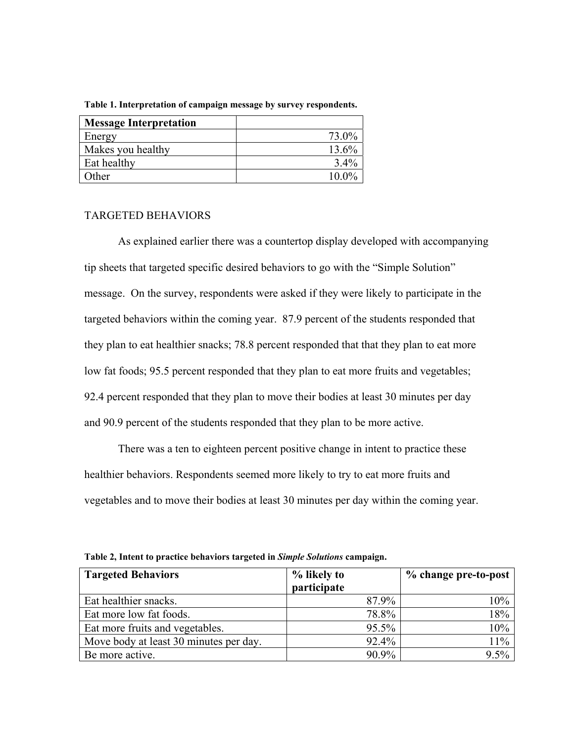| <b>Message Interpretation</b> |         |
|-------------------------------|---------|
| Energy                        | 73.0%   |
| Makes you healthy             | 13.6%   |
| Eat healthy                   | $3.4\%$ |
| Other                         | 10.0%   |

**Table 1. Interpretation of campaign message by survey respondents.** 

# TARGETED BEHAVIORS

As explained earlier there was a countertop display developed with accompanying tip sheets that targeted specific desired behaviors to go with the "Simple Solution" message. On the survey, respondents were asked if they were likely to participate in the targeted behaviors within the coming year. 87.9 percent of the students responded that they plan to eat healthier snacks; 78.8 percent responded that that they plan to eat more low fat foods; 95.5 percent responded that they plan to eat more fruits and vegetables; 92.4 percent responded that they plan to move their bodies at least 30 minutes per day and 90.9 percent of the students responded that they plan to be more active.

There was a ten to eighteen percent positive change in intent to practice these healthier behaviors. Respondents seemed more likely to try to eat more fruits and vegetables and to move their bodies at least 30 minutes per day within the coming year.

| <b>Targeted Behaviors</b>              | % likely to<br>participate | % change pre-to-post |
|----------------------------------------|----------------------------|----------------------|
| Eat healthier snacks.                  | 87.9%                      | 10%                  |
| Eat more low fat foods.                | 78.8%                      | 18%                  |
| Eat more fruits and vegetables.        | 95.5%                      | 10%                  |
| Move body at least 30 minutes per day. | 92.4%                      | 11%                  |
| Be more active.                        | 90.9%                      | $9.5\%$              |

**Table 2, Intent to practice behaviors targeted in** *Simple Solutions* **campaign.**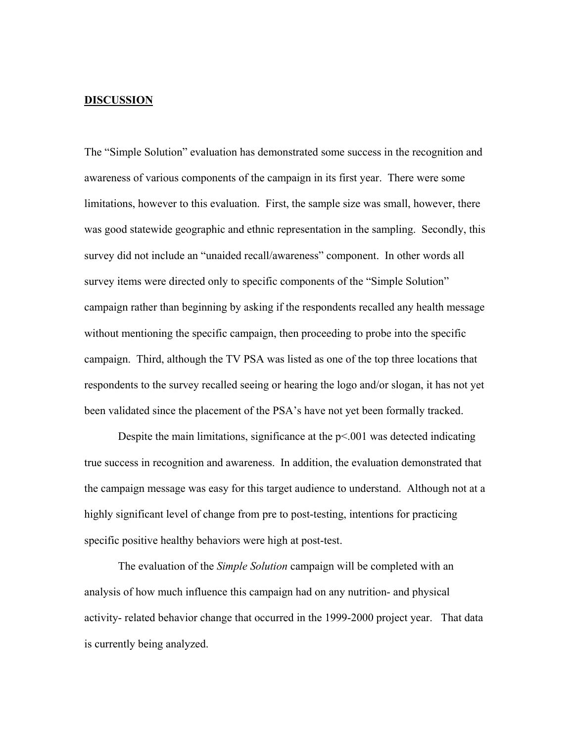## **DISCUSSION**

The "Simple Solution" evaluation has demonstrated some success in the recognition and awareness of various components of the campaign in its first year. There were some limitations, however to this evaluation. First, the sample size was small, however, there was good statewide geographic and ethnic representation in the sampling. Secondly, this survey did not include an "unaided recall/awareness" component. In other words all survey items were directed only to specific components of the "Simple Solution" campaign rather than beginning by asking if the respondents recalled any health message without mentioning the specific campaign, then proceeding to probe into the specific campaign. Third, although the TV PSA was listed as one of the top three locations that respondents to the survey recalled seeing or hearing the logo and/or slogan, it has not yet been validated since the placement of the PSA's have not yet been formally tracked.

Despite the main limitations, significance at the p<.001 was detected indicating true success in recognition and awareness. In addition, the evaluation demonstrated that the campaign message was easy for this target audience to understand. Although not at a highly significant level of change from pre to post-testing, intentions for practicing specific positive healthy behaviors were high at post-test.

The evaluation of the *Simple Solution* campaign will be completed with an analysis of how much influence this campaign had on any nutrition- and physical activity- related behavior change that occurred in the 1999-2000 project year. That data is currently being analyzed.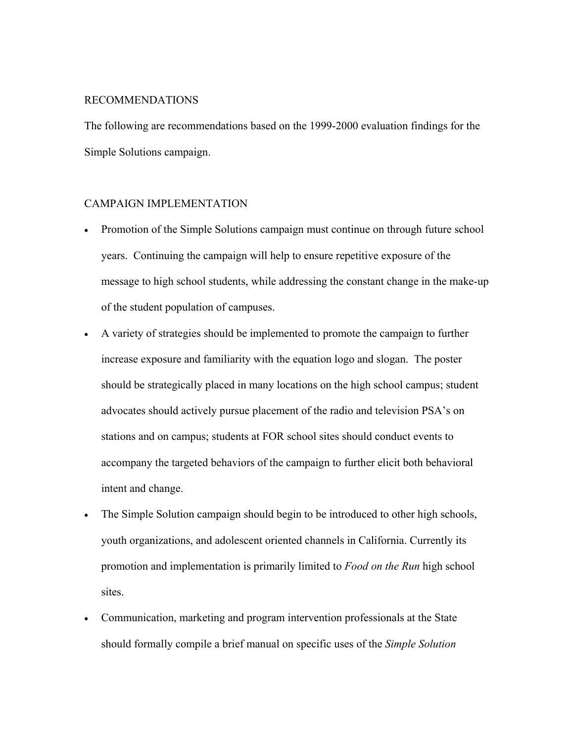# RECOMMENDATIONS

The following are recommendations based on the 1999-2000 evaluation findings for the Simple Solutions campaign.

# CAMPAIGN IMPLEMENTATION

- Promotion of the Simple Solutions campaign must continue on through future school years. Continuing the campaign will help to ensure repetitive exposure of the message to high school students, while addressing the constant change in the make-up of the student population of campuses.
- A variety of strategies should be implemented to promote the campaign to further increase exposure and familiarity with the equation logo and slogan. The poster should be strategically placed in many locations on the high school campus; student advocates should actively pursue placement of the radio and television PSA's on stations and on campus; students at FOR school sites should conduct events to accompany the targeted behaviors of the campaign to further elicit both behavioral intent and change.
- The Simple Solution campaign should begin to be introduced to other high schools, youth organizations, and adolescent oriented channels in California. Currently its promotion and implementation is primarily limited to *Food on the Run* high school sites.
- Communication, marketing and program intervention professionals at the State should formally compile a brief manual on specific uses of the *Simple Solution*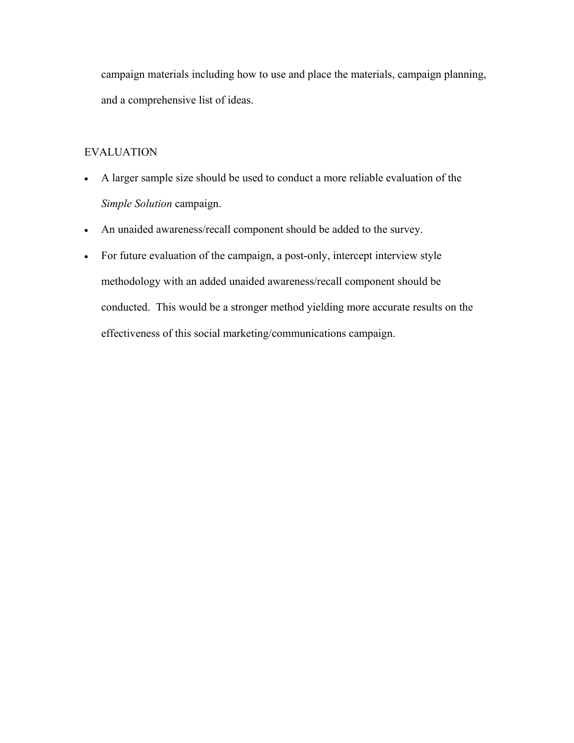campaign materials including how to use and place the materials, campaign planning, and a comprehensive list of ideas.

# EVALUATION

- A larger sample size should be used to conduct a more reliable evaluation of the *Simple Solution* campaign.
- An unaided awareness/recall component should be added to the survey.
- For future evaluation of the campaign, a post-only, intercept interview style methodology with an added unaided awareness/recall component should be conducted. This would be a stronger method yielding more accurate results on the effectiveness of this social marketing/communications campaign.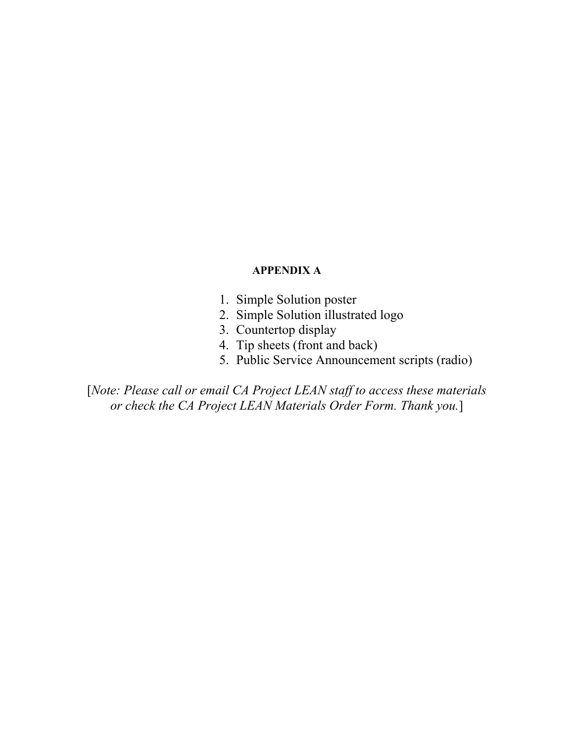# **APPENDIX A**

- 1. Simple Solution poster
- 2. Simple Solution illustrated logo
- 3. Countertop display
- 4. Tip sheets (front and back)
- 5. Public Service Announcement scripts (radio)

[*Note: Please call or email CA Project LEAN staff to access these materials or check the CA Project LEAN Materials Order Form. Thank you.*]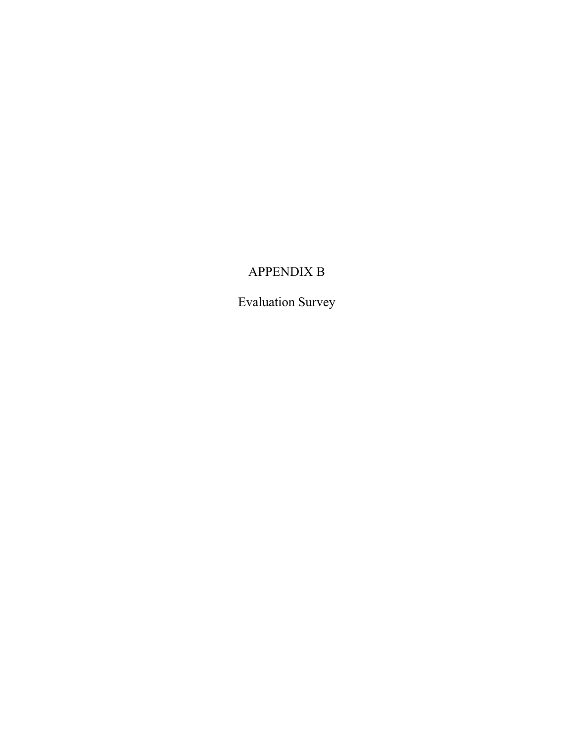# APPENDIX B

Evaluation Survey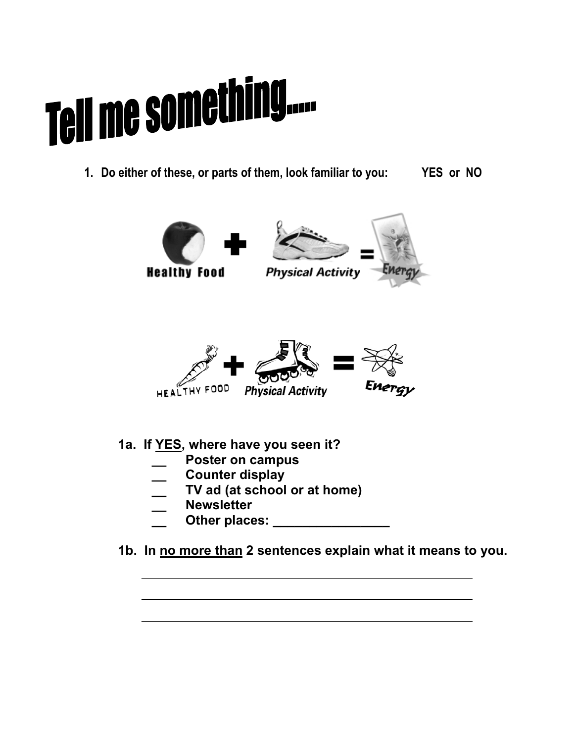# Tell me something....

**1. Do either of these, or parts of them, look familiar to you: YES or NO** 



 **1a. If YES, where have you seen it?** 

- **\_\_ Poster on campus**
- **\_\_ Counter display**
- **\_\_ TV ad (at school or at home)**
- **\_\_ Newsletter**
- Other places: **with a control of the places:**
- **1b. In no more than 2 sentences explain what it means to you.**